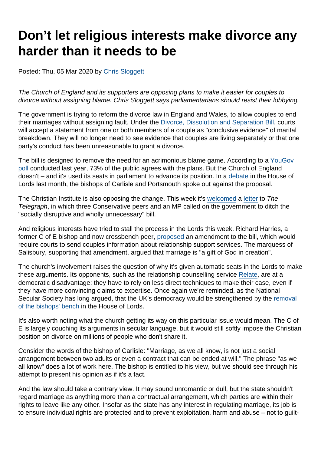## Don't let religious interests make divorce any harder than it needs to be

Posted: Thu, 05 Mar 2020 by [Chris Sloggett](https://www.secularism.org.uk/opinion/authors/968)

The Church of England and its supporters are opposing plans to make it easier for couples to divorce without assigning blame. Chris Sloggett says parliamentarians should resist their lobbying.

The government is trying to reform the divorce law in England and Wales, to allow couples to end their marriages without assigning fault. Under the [Divorce, Dissolution and Separation Bill](https://publications.parliament.uk/pa/bills/lbill/58-01/002/5801002.pdf), courts will accept a statement from one or both members of a couple as "conclusive evidence" of marital breakdown. They will no longer need to see evidence that couples are living separately or that one party's conduct has been unreasonable to grant a divorce.

The bill is designed to remove the need for an acrimonious blame game. According to a [YouGov](https://yougov.co.uk/opi/surveys/results#/survey/8a6b66e4-5aac-11e9-8cee-a9549355113c) [poll](https://yougov.co.uk/opi/surveys/results#/survey/8a6b66e4-5aac-11e9-8cee-a9549355113c) conducted last year, 73% of the public agrees with the plans. But the Church of England doesn't – and it's used its seats in parliament to advance its position. In a [debate](https://www.theyworkforyou.com/lords/?id=2020-02-05b.1807.0) in the House of Lords last month, the bishops of Carlisle and Portsmouth spoke out against the proposal.

The Christian Institute is also opposing the change. This week it's [welcomed](https://www.christian.org.uk/news/peers-speak-out-against-no-fault-divorce-plans/) a [letter](https://www.telegraph.co.uk/opinion/2020/02/29/lettersif-idea-slow-spread-coronavirus-no-health-checks-airports/) to The Telegraph, in which three Conservative peers and an MP called on the government to ditch the "socially disruptive and wholly unnecessary" bill.

And religious interests have tried to stall the process in the Lords this week. Richard Harries, a former C of E bishop and now crossbench peer, [proposed](https://www.theyworkforyou.com/lords/?id=2020-03-03a.550.3) an amendment to the bill, which would require courts to send couples information about relationship support services. The marquess of Salisbury, supporting that amendment, argued that marriage is "a gift of God in creation".

The church's involvement raises the question of why it's given automatic seats in the Lords to make these arguments. Its opponents, such as the relationship counselling service [Relate,](https://www.relate.org.uk/blog/2019/4/15/ending-blame-game-why-no-fault-divorce-good-families) are at a democratic disadvantage: they have to rely on less direct techniques to make their case, even if they have more convincing claims to expertise. Once again we're reminded, as the National Secular Society has long argued, that the UK's democracy would be strengthened by the [removal](https://www.secularism.org.uk/news/2020/01/bill-to-end-bishops-automatic-right-to-sit-in-lords-introduced) [of the bishops' bench](https://www.secularism.org.uk/news/2020/01/bill-to-end-bishops-automatic-right-to-sit-in-lords-introduced) in the House of Lords.

It's also worth noting what the church getting its way on this particular issue would mean. The C of E is largely couching its arguments in secular language, but it would still softly impose the Christian position on divorce on millions of people who don't share it.

Consider the words of the bishop of Carlisle: "Marriage, as we all know, is not just a social arrangement between two adults or even a contract that can be ended at will." The phrase "as we all know" does a lot of work here. The bishop is entitled to his view, but we should see through his attempt to present his opinion as if it's a fact.

And the law should take a contrary view. It may sound unromantic or dull, but the state shouldn't regard marriage as anything more than a contractual arrangement, which parties are within their rights to leave like any other. Insofar as the state has any interest in regulating marriage, its job is to ensure individual rights are protected and to prevent exploitation, harm and abuse – not to guilt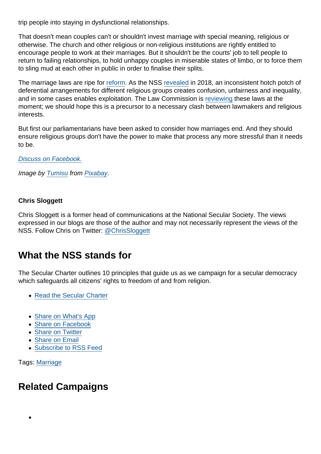trip people into staying in dysfunctional relationships.

That doesn't mean couples can't or shouldn't invest marriage with special meaning, religious or otherwise. The church and other religious or non-religious institutions are rightly entitled to encourage people to work at their marriages. But it shouldn't be the courts' job to tell people to return to failing relationships, to hold unhappy couples in miserable states of limbo, or to force them to sling mud at each other in public in order to finalise their splits.

The marriage laws are ripe for [reform](https://www.secularism.org.uk/marriage-equality/). As the NSS [revealed](https://www.secularism.org.uk/news/2018/06/nss-legal-reform-needed-to-tackle-marriage-provision-inequalities) in 2018, an inconsistent hotch potch of deferential arrangements for different religious groups creates confusion, unfairness and inequality, and in some cases enables exploitation. The Law Commission is [reviewing](https://www.lawcom.gov.uk/law-commission-begins-work-on-weddings-reform/) these laws at the moment; we should hope this is a precursor to a necessary clash between lawmakers and religious interests.

But first our parliamentarians have been asked to consider how marriages end. And they should ensure religious groups don't have the power to make that process any more stressful than it needs to be.

[Discuss on Facebook.](https://www.facebook.com/NationalSecularSociety/posts/2816661251735541)

Image by [Tumisu](https://pixabay.com/users/Tumisu-148124/?utm_source=link-attribution&utm_medium=referral&utm_campaign=image&utm_content=3639605) from [Pixabay](https://pixabay.com/?utm_source=link-attribution&utm_medium=referral&utm_campaign=image&utm_content=3639605).

Chris Sloggett

Chris Sloggett is a former head of communications at the National Secular Society. The views expressed in our blogs are those of the author and may not necessarily represent the views of the NSS. Follow Chris on Twitter: [@ChrisSloggett](https://twitter.com/ChrisSloggett)

## What the NSS stands for

The Secular Charter outlines 10 principles that guide us as we campaign for a secular democracy which safeguards all citizens' rights to freedom of and from religion.

- [Read the Secular Charter](https://www.secularism.org.uk/the-secular-charter.html)
- [Share on What's App](whatsapp://send?text=http://www.secularism.org.uk/opinion/2020/03/dont-let-religious-interests-make-divorce-any-harder-than-it-needs-to-be?format=pdf)
- [Share on Facebook](https://www.facebook.com/sharer/sharer.php?u=http://www.secularism.org.uk/opinion/2020/03/dont-let-religious-interests-make-divorce-any-harder-than-it-needs-to-be?format=pdf&t=Don’t+let+religious+interests+make+divorce+any+harder+than+it+needs+to+be)
- [Share on Twitter](https://twitter.com/intent/tweet?url=http://www.secularism.org.uk/opinion/2020/03/dont-let-religious-interests-make-divorce-any-harder-than-it-needs-to-be?format=pdf&text=Don’t+let+religious+interests+make+divorce+any+harder+than+it+needs+to+be&via=NatSecSoc)
- [Share on Email](https://www.secularism.org.uk/share.html?url=http://www.secularism.org.uk/opinion/2020/03/dont-let-religious-interests-make-divorce-any-harder-than-it-needs-to-be?format=pdf&title=Don’t+let+religious+interests+make+divorce+any+harder+than+it+needs+to+be)
- [Subscribe to RSS Feed](/mnt/web-data/www/cp-nss/feeds/rss/news)

Tags: [Marriage](https://www.secularism.org.uk/opinion/tags/Marriage)

## Related Campaigns